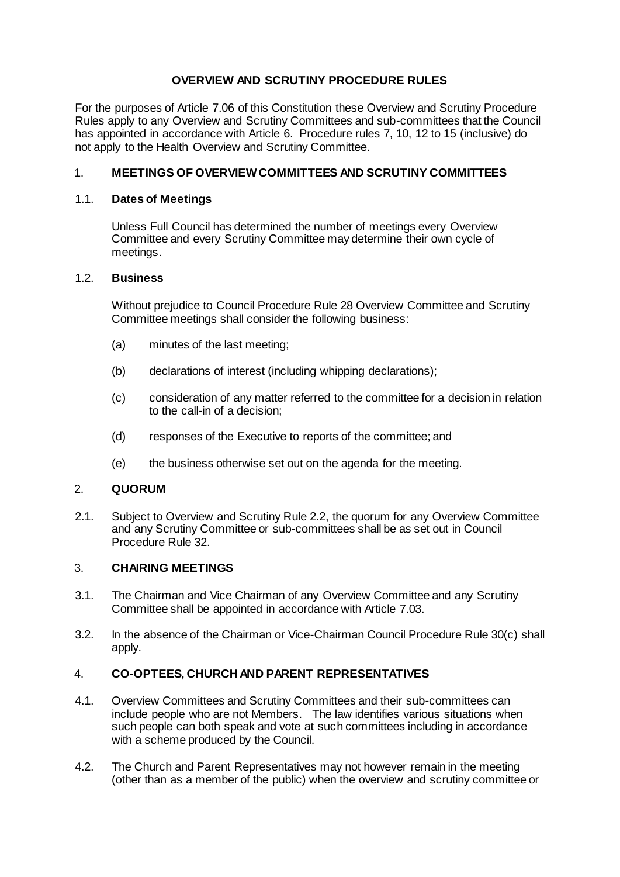# **OVERVIEW AND SCRUTINY PROCEDURE RULES**

For the purposes of Article 7.06 of this Constitution these Overview and Scrutiny Procedure Rules apply to any Overview and Scrutiny Committees and sub-committees that the Council has appointed in accordance with Article 6. Procedure rules 7, 10, 12 to 15 (inclusive) do not apply to the Health Overview and Scrutiny Committee.

## 1. **MEETINGS OF OVERVIEWCOMMITTEES AND SCRUTINY COMMITTEES**

### 1.1. **Dates of Meetings**

Unless Full Council has determined the number of meetings every Overview Committee and every Scrutiny Committee may determine their own cycle of meetings.

### 1.2. **Business**

Without prejudice to Council Procedure Rule 28 Overview Committee and Scrutiny Committee meetings shall consider the following business:

- (a) minutes of the last meeting;
- (b) declarations of interest (including whipping declarations);
- (c) consideration of any matter referred to the committee for a decision in relation to the call-in of a decision;
- (d) responses of the Executive to reports of the committee; and
- (e) the business otherwise set out on the agenda for the meeting.

### 2. **QUORUM**

2.1. Subject to Overview and Scrutiny Rule 2.2, the quorum for any Overview Committee and any Scrutiny Committee or sub-committees shall be as set out in Council Procedure Rule 32.

#### 3. **CHAIRING MEETINGS**

- 3.1. The Chairman and Vice Chairman of any Overview Committee and any Scrutiny Committee shall be appointed in accordance with Article 7.03.
- 3.2. In the absence of the Chairman or Vice-Chairman Council Procedure Rule 30(c) shall apply.

### 4. **CO-OPTEES, CHURCH AND PARENT REPRESENTATIVES**

- 4.1. Overview Committees and Scrutiny Committees and their sub-committees can include people who are not Members. The law identifies various situations when such people can both speak and vote at such committees including in accordance with a scheme produced by the Council.
- 4.2. The Church and Parent Representatives may not however remain in the meeting (other than as a member of the public) when the overview and scrutiny committee or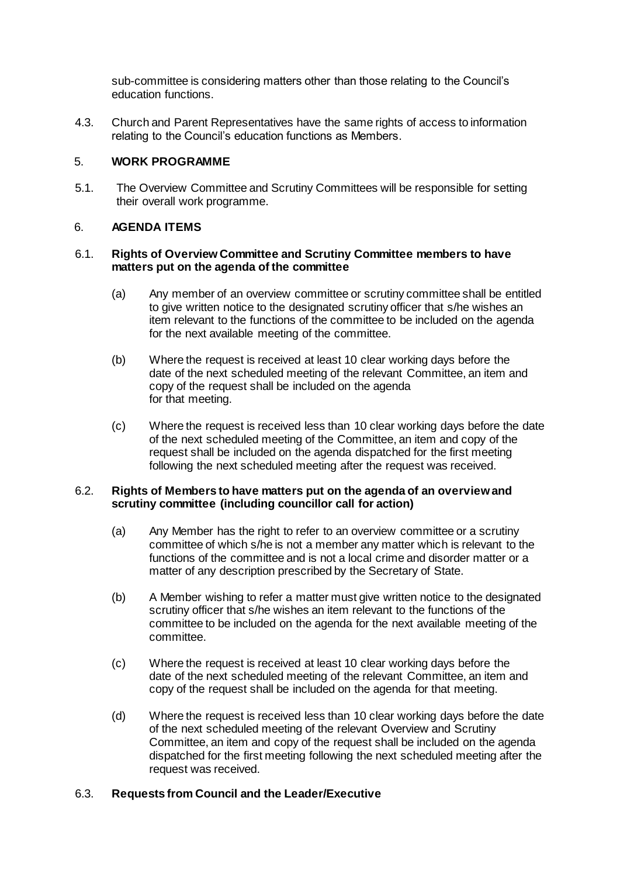sub-committee is considering matters other than those relating to the Council's education functions.

4.3. Church and Parent Representatives have the same rights of access to information relating to the Council's education functions as Members.

### 5. **WORK PROGRAMME**

5.1. The Overview Committee and Scrutiny Committees will be responsible for setting their overall work programme.

### 6. **AGENDA ITEMS**

#### 6.1. **Rights of Overview Committee and Scrutiny Committee members to have matters put on the agenda of the committee**

- (a) Any member of an overview committee or scrutiny committee shall be entitled to give written notice to the designated scrutiny officer that s/he wishes an item relevant to the functions of the committee to be included on the agenda for the next available meeting of the committee.
- (b) Where the request is received at least 10 clear working days before the date of the next scheduled meeting of the relevant Committee, an item and copy of the request shall be included on the agenda for that meeting.
- (c) Where the request is received less than 10 clear working days before the date of the next scheduled meeting of the Committee, an item and copy of the request shall be included on the agenda dispatched for the first meeting following the next scheduled meeting after the request was received.

### 6.2. **Rights of Members to have matters put on the agenda of an overview and scrutiny committee (including councillor call for action)**

- (a) Any Member has the right to refer to an overview committee or a scrutiny committee of which s/he is not a member any matter which is relevant to the functions of the committee and is not a local crime and disorder matter or a matter of any description prescribed by the Secretary of State.
- (b) A Member wishing to refer a matter must give written notice to the designated scrutiny officer that s/he wishes an item relevant to the functions of the committee to be included on the agenda for the next available meeting of the committee.
- (c) Where the request is received at least 10 clear working days before the date of the next scheduled meeting of the relevant Committee, an item and copy of the request shall be included on the agenda for that meeting.
- (d) Where the request is received less than 10 clear working days before the date of the next scheduled meeting of the relevant Overview and Scrutiny Committee, an item and copy of the request shall be included on the agenda dispatched for the first meeting following the next scheduled meeting after the request was received.

# 6.3. **Requests from Council and the Leader/Executive**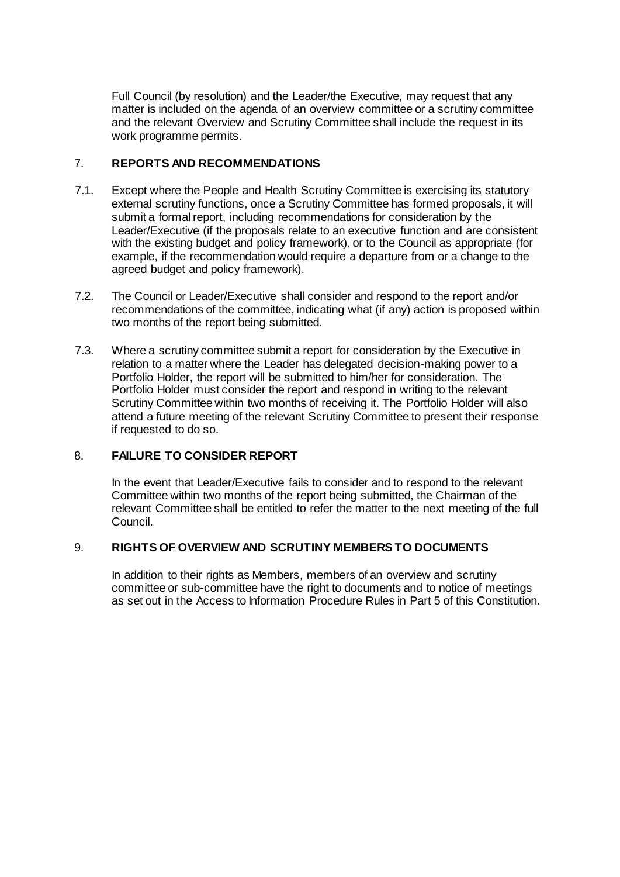Full Council (by resolution) and the Leader/the Executive, may request that any matter is included on the agenda of an overview committee or a scrutiny committee and the relevant Overview and Scrutiny Committee shall include the request in its work programme permits.

### 7. **REPORTS AND RECOMMENDATIONS**

- 7.1. Except where the People and Health Scrutiny Committee is exercising its statutory external scrutiny functions, once a Scrutiny Committee has formed proposals, it will submit a formal report, including recommendations for consideration by the Leader/Executive (if the proposals relate to an executive function and are consistent with the existing budget and policy framework), or to the Council as appropriate (for example, if the recommendation would require a departure from or a change to the agreed budget and policy framework).
- 7.2. The Council or Leader/Executive shall consider and respond to the report and/or recommendations of the committee, indicating what (if any) action is proposed within two months of the report being submitted.
- 7.3. Where a scrutiny committee submit a report for consideration by the Executive in relation to a matter where the Leader has delegated decision-making power to a Portfolio Holder, the report will be submitted to him/her for consideration. The Portfolio Holder must consider the report and respond in writing to the relevant Scrutiny Committee within two months of receiving it. The Portfolio Holder will also attend a future meeting of the relevant Scrutiny Committee to present their response if requested to do so.

# 8. **FAILURE TO CONSIDER REPORT**

In the event that Leader/Executive fails to consider and to respond to the relevant Committee within two months of the report being submitted, the Chairman of the relevant Committee shall be entitled to refer the matter to the next meeting of the full Council.

### 9. **RIGHTS OF OVERVIEW AND SCRUTINY MEMBERS TO DOCUMENTS**

In addition to their rights as Members, members of an overview and scrutiny committee or sub-committee have the right to documents and to notice of meetings as set out in the Access to Information Procedure Rules in Part 5 of this Constitution.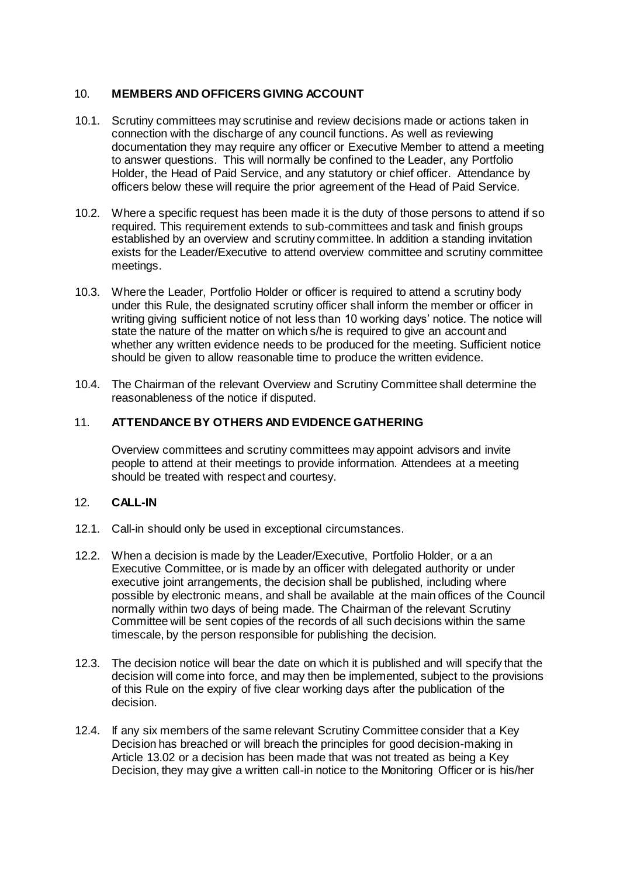### 10. **MEMBERS AND OFFICERS GIVING ACCOUNT**

- 10.1. Scrutiny committees may scrutinise and review decisions made or actions taken in connection with the discharge of any council functions. As well as reviewing documentation they may require any officer or Executive Member to attend a meeting to answer questions. This will normally be confined to the Leader, any Portfolio Holder, the Head of Paid Service, and any statutory or chief officer. Attendance by officers below these will require the prior agreement of the Head of Paid Service.
- 10.2. Where a specific request has been made it is the duty of those persons to attend if so required. This requirement extends to sub-committees and task and finish groups established by an overview and scrutiny committee. In addition a standing invitation exists for the Leader/Executive to attend overview committee and scrutiny committee meetings.
- 10.3. Where the Leader, Portfolio Holder or officer is required to attend a scrutiny body under this Rule, the designated scrutiny officer shall inform the member or officer in writing giving sufficient notice of not less than 10 working days' notice. The notice will state the nature of the matter on which s/he is required to give an account and whether any written evidence needs to be produced for the meeting. Sufficient notice should be given to allow reasonable time to produce the written evidence.
- 10.4. The Chairman of the relevant Overview and Scrutiny Committee shall determine the reasonableness of the notice if disputed.

### 11. **ATTENDANCE BY OTHERS AND EVIDENCE GATHERING**

Overview committees and scrutiny committees may appoint advisors and invite people to attend at their meetings to provide information. Attendees at a meeting should be treated with respect and courtesy.

### 12. **CALL-IN**

- 12.1. Call-in should only be used in exceptional circumstances.
- 12.2. When a decision is made by the Leader/Executive, Portfolio Holder, or a an Executive Committee, or is made by an officer with delegated authority or under executive joint arrangements, the decision shall be published, including where possible by electronic means, and shall be available at the main offices of the Council normally within two days of being made. The Chairman of the relevant Scrutiny Committee will be sent copies of the records of all such decisions within the same timescale, by the person responsible for publishing the decision.
- 12.3. The decision notice will bear the date on which it is published and will specify that the decision will come into force, and may then be implemented, subject to the provisions of this Rule on the expiry of five clear working days after the publication of the decision.
- 12.4. If any six members of the same relevant Scrutiny Committee consider that a Key Decision has breached or will breach the principles for good decision-making in Article 13.02 or a decision has been made that was not treated as being a Key Decision, they may give a written call-in notice to the Monitoring Officer or is his/her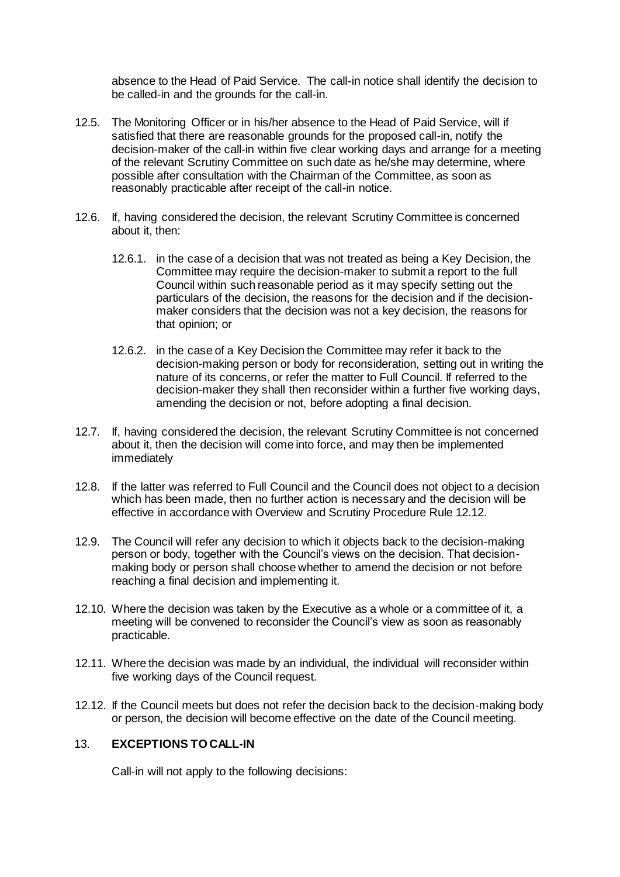absence to the Head of Paid Service. The call-in notice shall identify the decision to be called-in and the grounds for the call-in.

- 12.5. The Monitoring Officer or in his/her absence to the Head of Paid Service, will if satisfied that there are reasonable grounds for the proposed call-in, notify the decision-maker of the call-in within five clear working days and arrange for a meeting of the relevant Scrutiny Committee on such date as he/she may determine, where possible after consultation with the Chairman of the Committee, as soon as reasonably practicable after receipt of the call-in notice.
- 12.6. If, having considered the decision, the relevant Scrutiny Committee is concerned about it, then:
	- 12.6.1. in the case of a decision that was not treated as being a Key Decision, the Committee may require the decision-maker to submit a report to the full Council within such reasonable period as it may specify setting out the particulars of the decision, the reasons for the decision and if the decisionmaker considers that the decision was not a key decision, the reasons for that opinion; or
	- 12.6.2. in the case of a Key Decision the Committee may refer it back to the decision-making person or body for reconsideration, setting out in writing the nature of its concerns, or refer the matter to Full Council. If referred to the decision-maker they shall then reconsider within a further five working days, amending the decision or not, before adopting a final decision.
- 12.7. If, having considered the decision, the relevant Scrutiny Committee is not concerned about it, then the decision will come into force, and may then be implemented immediately
- 12.8. If the latter was referred to Full Council and the Council does not object to a decision which has been made, then no further action is necessary and the decision will be effective in accordance with Overview and Scrutiny Procedure Rule 12.12.
- 12.9. The Council will refer any decision to which it objects back to the decision-making person or body, together with the Council's views on the decision. That decisionmaking body or person shall choose whether to amend the decision or not before reaching a final decision and implementing it.
- 12.10. Where the decision was taken by the Executive as a whole or a committee of it, a meeting will be convened to reconsider the Council's view as soon as reasonably practicable.
- 12.11. Where the decision was made by an individual, the individual will reconsider within five working days of the Council request.
- 12.12. If the Council meets but does not refer the decision back to the decision-making body or person, the decision will become effective on the date of the Council meeting.

### 13. **EXCEPTIONS TO CALL-IN**

Call-in will not apply to the following decisions: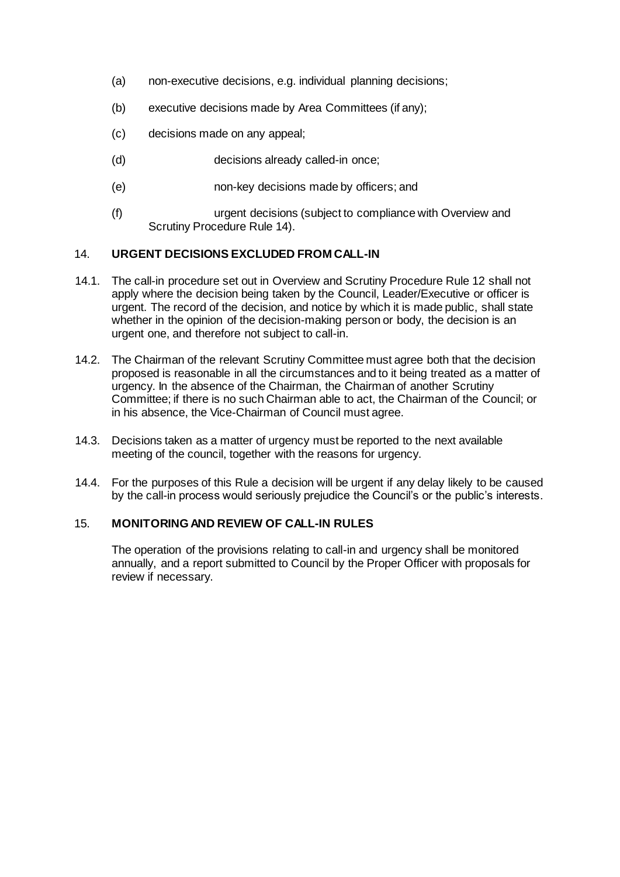- (a) non-executive decisions, e.g. individual planning decisions;
- (b) executive decisions made by Area Committees (if any);
- (c) decisions made on any appeal;
- (d) decisions already called-in once;
- (e) non-key decisions made by officers; and
- (f) urgent decisions (subject to compliance with Overview and Scrutiny Procedure Rule 14).

### 14. **URGENT DECISIONS EXCLUDED FROM CALL-IN**

- 14.1. The call-in procedure set out in Overview and Scrutiny Procedure Rule 12 shall not apply where the decision being taken by the Council, Leader/Executive or officer is urgent. The record of the decision, and notice by which it is made public, shall state whether in the opinion of the decision-making person or body, the decision is an urgent one, and therefore not subject to call-in.
- 14.2. The Chairman of the relevant Scrutiny Committee must agree both that the decision proposed is reasonable in all the circumstances and to it being treated as a matter of urgency. In the absence of the Chairman, the Chairman of another Scrutiny Committee; if there is no such Chairman able to act, the Chairman of the Council; or in his absence, the Vice-Chairman of Council must agree.
- 14.3. Decisions taken as a matter of urgency must be reported to the next available meeting of the council, together with the reasons for urgency.
- 14.4. For the purposes of this Rule a decision will be urgent if any delay likely to be caused by the call-in process would seriously prejudice the Council's or the public's interests.

### 15. **MONITORING AND REVIEW OF CALL-IN RULES**

The operation of the provisions relating to call-in and urgency shall be monitored annually, and a report submitted to Council by the Proper Officer with proposals for review if necessary.